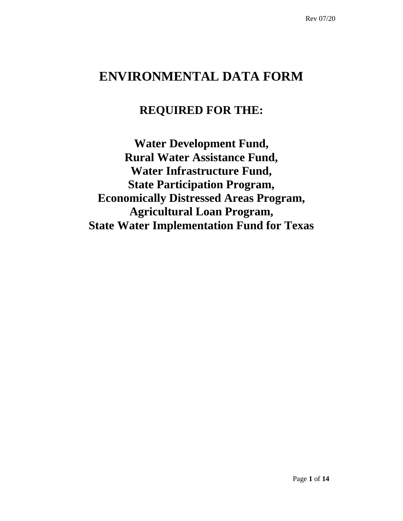# **ENVIRONMENTAL DATA FORM**

# **REQUIRED FOR THE:**

**Water Development Fund, Rural Water Assistance Fund, Water Infrastructure Fund, State Participation Program, Economically Distressed Areas Program, Agricultural Loan Program, State Water Implementation Fund for Texas**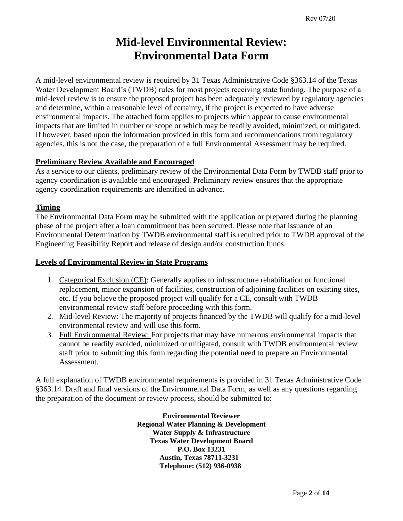# **Mid-level Environmental Review: Environmental Data Form**

A mid-level environmental review is required by 31 Texas Administrative Code §363.14 of the Texas Water Development Board's (TWDB) rules for most projects receiving state funding. The purpose of a mid-level review is to ensure the proposed project has been adequately reviewed by regulatory agencies and determine, within a reasonable level of certainty, if the project is expected to have adverse environmental impacts. The attached form applies to projects which appear to cause environmental impacts that are limited in number or scope or which may be readily avoided, minimized, or mitigated. If however, based upon the information provided in this form and recommendations from regulatory agencies, this is not the case, the preparation of a full Environmental Assessment may be required.

# **Preliminary Review Available and Encouraged**

As a service to our clients, preliminary review of the Environmental Data Form by TWDB staff prior to agency coordination is available and encouraged. Preliminary review ensures that the appropriate agency coordination requirements are identified in advance.

# **Timing**

The Environmental Data Form may be submitted with the application or prepared during the planning phase of the project after a loan commitment has been secured. Please note that issuance of an Environmental Determination by TWDB environmental staff is required prior to TWDB approval of the Engineering Feasibility Report and release of design and/or construction funds.

## **Levels of Environmental Review in State Programs**

- 1. Categorical Exclusion (CE): Generally applies to infrastructure rehabilitation or functional replacement, minor expansion of facilities, construction of adjoining facilities on existing sites, etc. If you believe the proposed project will qualify for a CE, consult with TWDB environmental review staff before proceeding with this form.
- 2. Mid-level Review: The majority of projects financed by the TWDB will qualify for a mid-level environmental review and will use this form.
- 3. Full Environmental Review: For projects that may have numerous environmental impacts that cannot be readily avoided, minimized or mitigated, consult with TWDB environmental review staff prior to submitting this form regarding the potential need to prepare an Environmental Assessment.

A full explanation of TWDB environmental requirements is provided in 31 Texas Administrative Code §363.14. Draft and final versions of the Environmental Data Form, as well as any questions regarding the preparation of the document or review process, should be submitted to:

> **Environmental Reviewer Regional Water Planning & Development Water Supply & Infrastructure Texas Water Development Board P.O. Box 13231 Austin, Texas 78711-3231 Telephone: (512) 936-0938**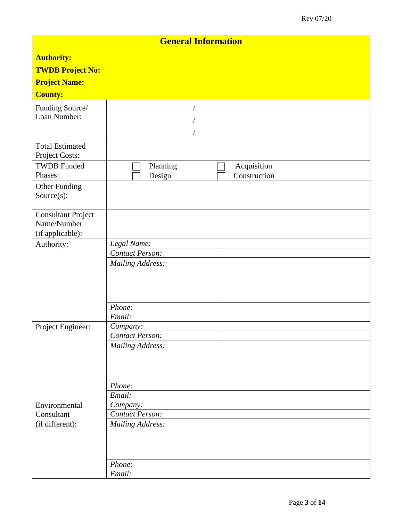| <b>General Information</b> |                         |  |  |  |
|----------------------------|-------------------------|--|--|--|
| <b>Authority:</b>          |                         |  |  |  |
| <b>TWDB Project No:</b>    |                         |  |  |  |
| <b>Project Name:</b>       |                         |  |  |  |
| <b>County:</b>             |                         |  |  |  |
| Funding Source/            |                         |  |  |  |
| Loan Number:               |                         |  |  |  |
|                            |                         |  |  |  |
| <b>Total Estimated</b>     |                         |  |  |  |
| Project Costs:             |                         |  |  |  |
| <b>TWDB</b> Funded         | Planning<br>Acquisition |  |  |  |
| Phases:                    | Construction<br>Design  |  |  |  |
| Other Funding              |                         |  |  |  |
| Source(s):                 |                         |  |  |  |
| <b>Consultant Project</b>  |                         |  |  |  |
| Name/Number                |                         |  |  |  |
| (if applicable):           |                         |  |  |  |
| Authority:                 | Legal Name:             |  |  |  |
|                            | <b>Contact Person:</b>  |  |  |  |
|                            | <b>Mailing Address:</b> |  |  |  |
|                            |                         |  |  |  |
|                            |                         |  |  |  |
|                            |                         |  |  |  |
|                            | Phone:<br>Email:        |  |  |  |
| Project Engineer:          | Company:                |  |  |  |
|                            | Contact Person:         |  |  |  |
|                            | <b>Mailing Address:</b> |  |  |  |
|                            |                         |  |  |  |
|                            |                         |  |  |  |
|                            |                         |  |  |  |
|                            | Phone:<br>Email:        |  |  |  |
| Environmental              | Company:                |  |  |  |
| Consultant                 | <b>Contact Person:</b>  |  |  |  |
| (if different):            | <b>Mailing Address:</b> |  |  |  |
|                            |                         |  |  |  |
|                            |                         |  |  |  |
|                            |                         |  |  |  |
|                            | Phone:<br>Email:        |  |  |  |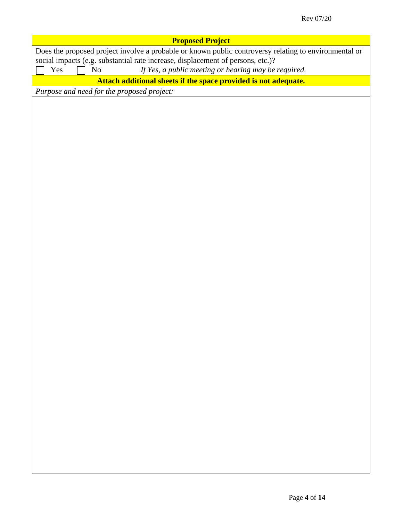| <b>Proposed Project</b><br>Does the proposed project involve a probable or known public controversy relating to environmental or<br>social impacts (e.g. substantial rate increase, displacement of persons, etc.)?<br>If Yes, a public meeting or hearing may be required.<br>Yes<br>No<br>Attach additional sheets if the space provided is not adequate.<br>Purpose and need for the proposed project: |
|-----------------------------------------------------------------------------------------------------------------------------------------------------------------------------------------------------------------------------------------------------------------------------------------------------------------------------------------------------------------------------------------------------------|
|                                                                                                                                                                                                                                                                                                                                                                                                           |
|                                                                                                                                                                                                                                                                                                                                                                                                           |
|                                                                                                                                                                                                                                                                                                                                                                                                           |
|                                                                                                                                                                                                                                                                                                                                                                                                           |
|                                                                                                                                                                                                                                                                                                                                                                                                           |
|                                                                                                                                                                                                                                                                                                                                                                                                           |
|                                                                                                                                                                                                                                                                                                                                                                                                           |
|                                                                                                                                                                                                                                                                                                                                                                                                           |
|                                                                                                                                                                                                                                                                                                                                                                                                           |
|                                                                                                                                                                                                                                                                                                                                                                                                           |
|                                                                                                                                                                                                                                                                                                                                                                                                           |
|                                                                                                                                                                                                                                                                                                                                                                                                           |
|                                                                                                                                                                                                                                                                                                                                                                                                           |
|                                                                                                                                                                                                                                                                                                                                                                                                           |
|                                                                                                                                                                                                                                                                                                                                                                                                           |
|                                                                                                                                                                                                                                                                                                                                                                                                           |
|                                                                                                                                                                                                                                                                                                                                                                                                           |
|                                                                                                                                                                                                                                                                                                                                                                                                           |
|                                                                                                                                                                                                                                                                                                                                                                                                           |
|                                                                                                                                                                                                                                                                                                                                                                                                           |
|                                                                                                                                                                                                                                                                                                                                                                                                           |
|                                                                                                                                                                                                                                                                                                                                                                                                           |
|                                                                                                                                                                                                                                                                                                                                                                                                           |
|                                                                                                                                                                                                                                                                                                                                                                                                           |
|                                                                                                                                                                                                                                                                                                                                                                                                           |
|                                                                                                                                                                                                                                                                                                                                                                                                           |
|                                                                                                                                                                                                                                                                                                                                                                                                           |
|                                                                                                                                                                                                                                                                                                                                                                                                           |
|                                                                                                                                                                                                                                                                                                                                                                                                           |
|                                                                                                                                                                                                                                                                                                                                                                                                           |
|                                                                                                                                                                                                                                                                                                                                                                                                           |
|                                                                                                                                                                                                                                                                                                                                                                                                           |
|                                                                                                                                                                                                                                                                                                                                                                                                           |
|                                                                                                                                                                                                                                                                                                                                                                                                           |
|                                                                                                                                                                                                                                                                                                                                                                                                           |
|                                                                                                                                                                                                                                                                                                                                                                                                           |
|                                                                                                                                                                                                                                                                                                                                                                                                           |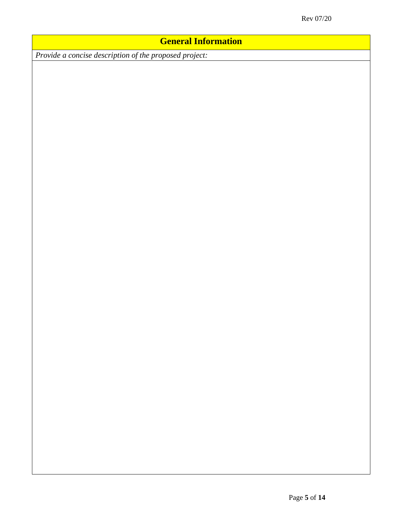# **General Information**

*Provide a concise description of the proposed project:*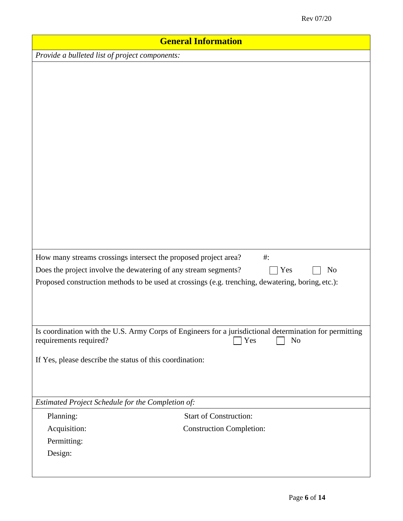| <b>General Information</b>                                                                                                         |                                                                                                                                  |  |  |
|------------------------------------------------------------------------------------------------------------------------------------|----------------------------------------------------------------------------------------------------------------------------------|--|--|
| Provide a bulleted list of project components:                                                                                     |                                                                                                                                  |  |  |
| How many streams crossings intersect the proposed project area?<br>Does the project involve the dewatering of any stream segments? | $\#$ :<br>Yes<br>No                                                                                                              |  |  |
|                                                                                                                                    | Proposed construction methods to be used at crossings (e.g. trenching, dewatering, boring, etc.):                                |  |  |
| requirements required?                                                                                                             | Is coordination with the U.S. Army Corps of Engineers for a jurisdictional determination for permitting<br>Yes<br>N <sub>o</sub> |  |  |
| If Yes, please describe the status of this coordination:                                                                           |                                                                                                                                  |  |  |
| Estimated Project Schedule for the Completion of:                                                                                  |                                                                                                                                  |  |  |
| Planning:                                                                                                                          | <b>Start of Construction:</b>                                                                                                    |  |  |
| Acquisition:                                                                                                                       | <b>Construction Completion:</b>                                                                                                  |  |  |
| Permitting:                                                                                                                        |                                                                                                                                  |  |  |
| Design:                                                                                                                            |                                                                                                                                  |  |  |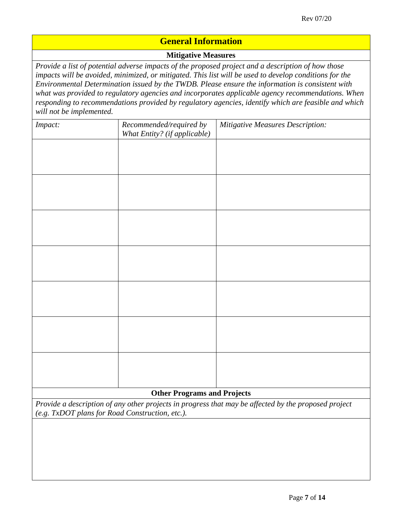# **General Information**

# **Mitigative Measures**

*Provide a list of potential adverse impacts of the proposed project and a description of how those impacts will be avoided, minimized, or mitigated. This list will be used to develop conditions for the Environmental Determination issued by the TWDB. Please ensure the information is consistent with what was provided to regulatory agencies and incorporates applicable agency recommendations. When responding to recommendations provided by regulatory agencies, identify which are feasible and which will not be implemented.*

| Impact:                                                                                              | Recommended/required by<br>What Entity? (if applicable) | <b>Mitigative Measures Description:</b> |  |  |
|------------------------------------------------------------------------------------------------------|---------------------------------------------------------|-----------------------------------------|--|--|
|                                                                                                      |                                                         |                                         |  |  |
|                                                                                                      |                                                         |                                         |  |  |
|                                                                                                      |                                                         |                                         |  |  |
|                                                                                                      |                                                         |                                         |  |  |
|                                                                                                      |                                                         |                                         |  |  |
|                                                                                                      |                                                         |                                         |  |  |
|                                                                                                      |                                                         |                                         |  |  |
|                                                                                                      |                                                         |                                         |  |  |
|                                                                                                      |                                                         |                                         |  |  |
|                                                                                                      |                                                         |                                         |  |  |
|                                                                                                      |                                                         |                                         |  |  |
|                                                                                                      |                                                         |                                         |  |  |
|                                                                                                      |                                                         |                                         |  |  |
|                                                                                                      |                                                         |                                         |  |  |
|                                                                                                      |                                                         |                                         |  |  |
| <b>Other Programs and Projects</b>                                                                   |                                                         |                                         |  |  |
| Provide a description of any other projects in progress that may be affected by the proposed project |                                                         |                                         |  |  |
| (e.g. TxDOT plans for Road Construction, etc.).                                                      |                                                         |                                         |  |  |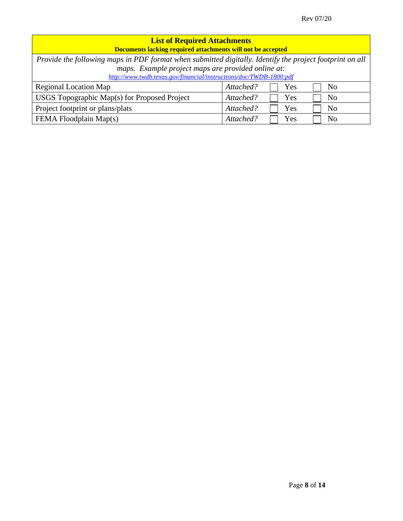| <b>List of Required Attachments</b>                                                                      |                                    |  |  |  |  |
|----------------------------------------------------------------------------------------------------------|------------------------------------|--|--|--|--|
| Documents lacking required attachments will not be accepted                                              |                                    |  |  |  |  |
| Provide the following maps in PDF format when submitted digitally. Identify the project footprint on all |                                    |  |  |  |  |
| maps. Example project maps are provided online at:                                                       |                                    |  |  |  |  |
| http://www.twdb.texas.gov/financial/instructions/doc/TWDB-1800.pdf                                       |                                    |  |  |  |  |
| <b>Regional Location Map</b>                                                                             | Attached?<br>Yes<br>N <sub>0</sub> |  |  |  |  |
| USGS Topographic Map(s) for Proposed Project                                                             | Attached?<br>N <sub>0</sub><br>Yes |  |  |  |  |
| Project footprint or plans/plats                                                                         | Attached?<br>Yes<br>N <sub>0</sub> |  |  |  |  |
| FEMA Floodplain Map(s)                                                                                   | Attached?<br>Yes<br>No             |  |  |  |  |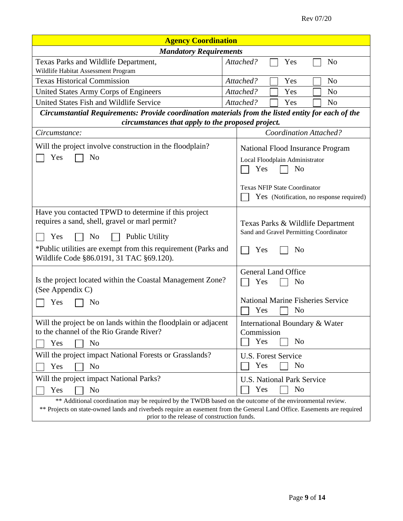| <b>Agency Coordination</b>                                                                                                                                             |                                                                             |  |  |  |  |
|------------------------------------------------------------------------------------------------------------------------------------------------------------------------|-----------------------------------------------------------------------------|--|--|--|--|
| <b>Mandatory Requirements</b>                                                                                                                                          |                                                                             |  |  |  |  |
| Texas Parks and Wildlife Department,                                                                                                                                   | Attached?<br>N <sub>o</sub><br>Yes                                          |  |  |  |  |
| Wildlife Habitat Assessment Program                                                                                                                                    |                                                                             |  |  |  |  |
| <b>Texas Historical Commission</b>                                                                                                                                     | Attached?<br>Yes<br>N <sub>o</sub>                                          |  |  |  |  |
| United States Army Corps of Engineers                                                                                                                                  | Attached?<br>Yes<br>N <sub>0</sub>                                          |  |  |  |  |
| United States Fish and Wildlife Service                                                                                                                                | Attached?<br>N <sub>o</sub><br>Yes                                          |  |  |  |  |
| Circumstantial Requirements: Provide coordination materials from the listed entity for each of the<br>circumstances that apply to the proposed project.                |                                                                             |  |  |  |  |
| Circumstance:                                                                                                                                                          | <b>Coordination Attached?</b>                                               |  |  |  |  |
| Will the project involve construction in the floodplain?                                                                                                               | National Flood Insurance Program                                            |  |  |  |  |
| Yes<br>N <sub>o</sub>                                                                                                                                                  | Local Floodplain Administrator                                              |  |  |  |  |
|                                                                                                                                                                        | Yes<br>N <sub>0</sub>                                                       |  |  |  |  |
|                                                                                                                                                                        | <b>Texas NFIP State Coordinator</b>                                         |  |  |  |  |
|                                                                                                                                                                        | Yes (Notification, no response required)                                    |  |  |  |  |
|                                                                                                                                                                        |                                                                             |  |  |  |  |
| Have you contacted TPWD to determine if this project                                                                                                                   |                                                                             |  |  |  |  |
| requires a sand, shell, gravel or marl permit?                                                                                                                         | Texas Parks & Wildlife Department<br>Sand and Gravel Permitting Coordinator |  |  |  |  |
| <b>Public Utility</b><br>Yes<br>N <sub>0</sub>                                                                                                                         |                                                                             |  |  |  |  |
| *Public utilities are exempt from this requirement (Parks and<br>Wildlife Code §86.0191, 31 TAC §69.120).                                                              | Yes<br>N <sub>o</sub>                                                       |  |  |  |  |
|                                                                                                                                                                        | <b>General Land Office</b>                                                  |  |  |  |  |
| Is the project located within the Coastal Management Zone?                                                                                                             | Yes<br>N <sub>o</sub>                                                       |  |  |  |  |
| (See Appendix C)                                                                                                                                                       |                                                                             |  |  |  |  |
| Yes<br>No                                                                                                                                                              | National Marine Fisheries Service                                           |  |  |  |  |
|                                                                                                                                                                        | Yes<br>N <sub>o</sub>                                                       |  |  |  |  |
| Will the project be on lands within the floodplain or adjacent                                                                                                         | International Boundary & Water                                              |  |  |  |  |
| to the channel of the Rio Grande River?                                                                                                                                | Commission                                                                  |  |  |  |  |
| Yes<br>N <sub>o</sub>                                                                                                                                                  | Yes<br>N <sub>0</sub>                                                       |  |  |  |  |
| Will the project impact National Forests or Grasslands?                                                                                                                | U.S. Forest Service                                                         |  |  |  |  |
| N <sub>o</sub><br>Yes                                                                                                                                                  | Yes<br>N <sub>o</sub>                                                       |  |  |  |  |
| Will the project impact National Parks?                                                                                                                                | <b>U.S. National Park Service</b>                                           |  |  |  |  |
| N <sub>o</sub><br>Yes                                                                                                                                                  | Yes<br>N <sub>o</sub>                                                       |  |  |  |  |
| ** Additional coordination may be required by the TWDB based on the outcome of the environmental review.                                                               |                                                                             |  |  |  |  |
| ** Projects on state-owned lands and riverbeds require an easement from the General Land Office. Easements are required<br>prior to the release of construction funds. |                                                                             |  |  |  |  |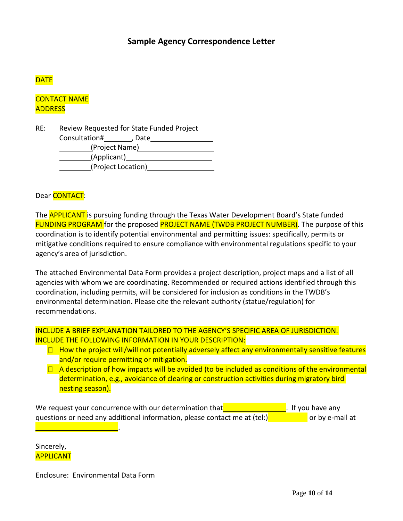# **Sample Agency Correspondence Letter**

# **DATE**

CONTACT NAME **ADDRESS** 

RE: Review Requested for State Funded Project

| Consultation#  | , Date             |  |  |
|----------------|--------------------|--|--|
| (Project Name) |                    |  |  |
| (Applicant)    |                    |  |  |
|                | (Project Location) |  |  |

Dear **CONTACT**:

The **APPLICANT** is pursuing funding through the Texas Water Development Board's State funded FUNDING PROGRAM for the proposed PROJECT NAME (TWDB PROJECT NUMBER). The purpose of this coordination is to identify potential environmental and permitting issues: specifically, permits or mitigative conditions required to ensure compliance with environmental regulations specific to your agency's area of jurisdiction.

The attached Environmental Data Form provides a project description, project maps and a list of all agencies with whom we are coordinating. Recommended or required actions identified through this coordination, including permits, will be considered for inclusion as conditions in the TWDB's environmental determination. Please cite the relevant authority (statue/regulation) for recommendations.

INCLUDE A BRIEF EXPLANATION TAILORED TO THE AGENCY'S SPECIFIC AREA OF JURISDICTION. INCLUDE THE FOLLOWING INFORMATION IN YOUR DESCRIPTION:

- $\Box$  How the project will/will not potentially adversely affect any environmentally sensitive features and/or require permitting or mitigation.
- $\Box$  A description of how impacts will be avoided (to be included as conditions of the environmental determination, e.g., avoidance of clearing or construction activities during migratory bird nesting season).

We request your concurrence with our determination that  $\blacksquare$ questions or need any additional information, please contact me at (tel:)**Net all assumes that as a** or by e-mail at **.** If you have any

Sincerely, APPLICANT

Enclosure: Environmental Data Form

.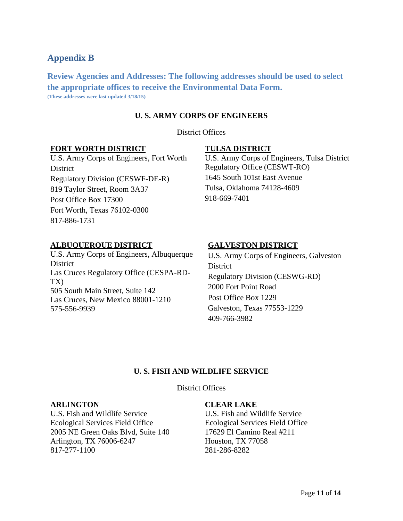# **Appendix B**

**Review Agencies and Addresses: The following addresses should be used to select the appropriate offices to receive the Environmental Data Form. (These addresses were last updated 3/18/15)**

# **U. S. ARMY CORPS OF ENGINEERS**

District Offices

## **FORT WORTH DISTRICT**

U.S. Army Corps of Engineers, Fort Worth **District** Regulatory Division (CESWF-DE-R) 819 Taylor Street, Room 3A37 Post Office Box 17300 Fort Worth, Texas 76102-0300 817-886-1731

## **TULSA DISTRICT**

U.S. Army Corps of Engineers, Tulsa District Regulatory Office (CESWT-RO) 1645 South 101st East Avenue Tulsa, Oklahoma 74128-4609 918-669-7401

## **ALBUQUERQUE DISTRICT**

U.S. Army Corps of Engineers, Albuquerque **District** Las Cruces Regulatory Office (CESPA-RD-TX) 505 South Main Street, Suite 142 Las Cruces, New Mexico 88001-1210 575-556-9939

#### **GALVESTON DISTRICT**

U.S. Army Corps of Engineers, Galveston **District** Regulatory Division (CESWG-RD) 2000 Fort Point Road Post Office Box 1229 Galveston, Texas 77553-1229 409-766-3982

#### **U. S. FISH AND WILDLIFE SERVICE**

District Offices

#### **ARLINGTON**

U.S. Fish and Wildlife Service Ecological Services Field Office 2005 NE Green Oaks Blvd, Suite 140 Arlington, TX 76006-6247 817-277-1100

#### **CLEAR LAKE**

U.S. Fish and Wildlife Service Ecological Services Field Office 17629 El Camino Real #211 Houston, TX 77058 281-286-8282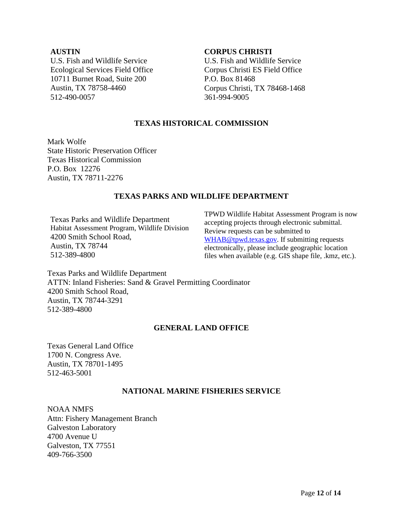# **AUSTIN**

U.S. Fish and Wildlife Service Ecological Services Field Office 10711 Burnet Road, Suite 200 Austin, TX 78758-4460 512-490-0057

#### **CORPUS CHRISTI**

U.S. Fish and Wildlife Service Corpus Christi ES Field Office P.O. Box 81468 Corpus Christi, TX 78468-1468 361-994-9005

# **TEXAS HISTORICAL COMMISSION**

Mark Wolfe State Historic Preservation Officer Texas Historical Commission P.O. Box 12276 Austin, TX 78711-2276

# **TEXAS PARKS AND WILDLIFE DEPARTMENT**

Texas Parks and Wildlife Department Habitat Assessment Program, Wildlife Division 4200 Smith School Road, Austin, TX 78744 512-389-4800

TPWD Wildlife Habitat Assessment Program is now accepting projects through electronic submittal. Review requests can be submitted to [WHAB@tpwd.texas.gov.](mailto:WHAB@tpwd.texas.gov) If submitting requests electronically, please include geographic location files when available (e.g. GIS shape file, .kmz, etc.).

Texas Parks and Wildlife Department ATTN: Inland Fisheries: Sand & Gravel Permitting Coordinator 4200 Smith School Road, Austin, TX 78744-3291 512-389-4800

## **GENERAL LAND OFFICE**

Texas General Land Office 1700 N. Congress Ave. Austin, TX 78701-1495 512-463-5001

## **NATIONAL MARINE FISHERIES SERVICE**

NOAA NMFS Attn: Fishery Management Branch Galveston Laboratory 4700 Avenue U Galveston, TX 77551 409-766-3500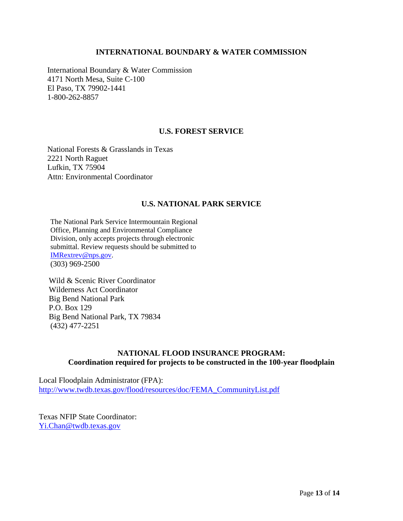#### **INTERNATIONAL BOUNDARY & WATER COMMISSION**

International Boundary & Water Commission 4171 North Mesa, Suite C-100 El Paso, TX 79902-1441 1-800-262-8857

## **U.S. FOREST SERVICE**

National Forests & Grasslands in Texas 2221 North Raguet Lufkin, TX 75904 Attn: Environmental Coordinator

## **U.S. NATIONAL PARK SERVICE**

The National Park Service Intermountain Regional Office, Planning and Environmental Compliance Division, only accepts projects through electronic submittal. Review requests should be submitted to [IMRextrev@nps.gov.](mailto:IMRextrev@nps.gov) (303) 969-2500

Wild & Scenic River Coordinator Wilderness Act Coordinator Big Bend National Park P.O. Box 129 Big Bend National Park, TX 79834 (432) 477-2251

# **NATIONAL FLOOD INSURANCE PROGRAM: Coordination required for projects to be constructed in the 100-year floodplain**

Local Floodplain Administrator (FPA): [http://www.twdb.texas.gov/flood/resources/doc/FEMA\\_CommunityList.pdf](http://www.twdb.texas.gov/flood/resources/doc/FEMA_CommunityList.pdf)

Texas NFIP State Coordinator: [Yi.Chan@twdb.texas.gov](mailto:Yi.Chan@twdb.texas.gov)